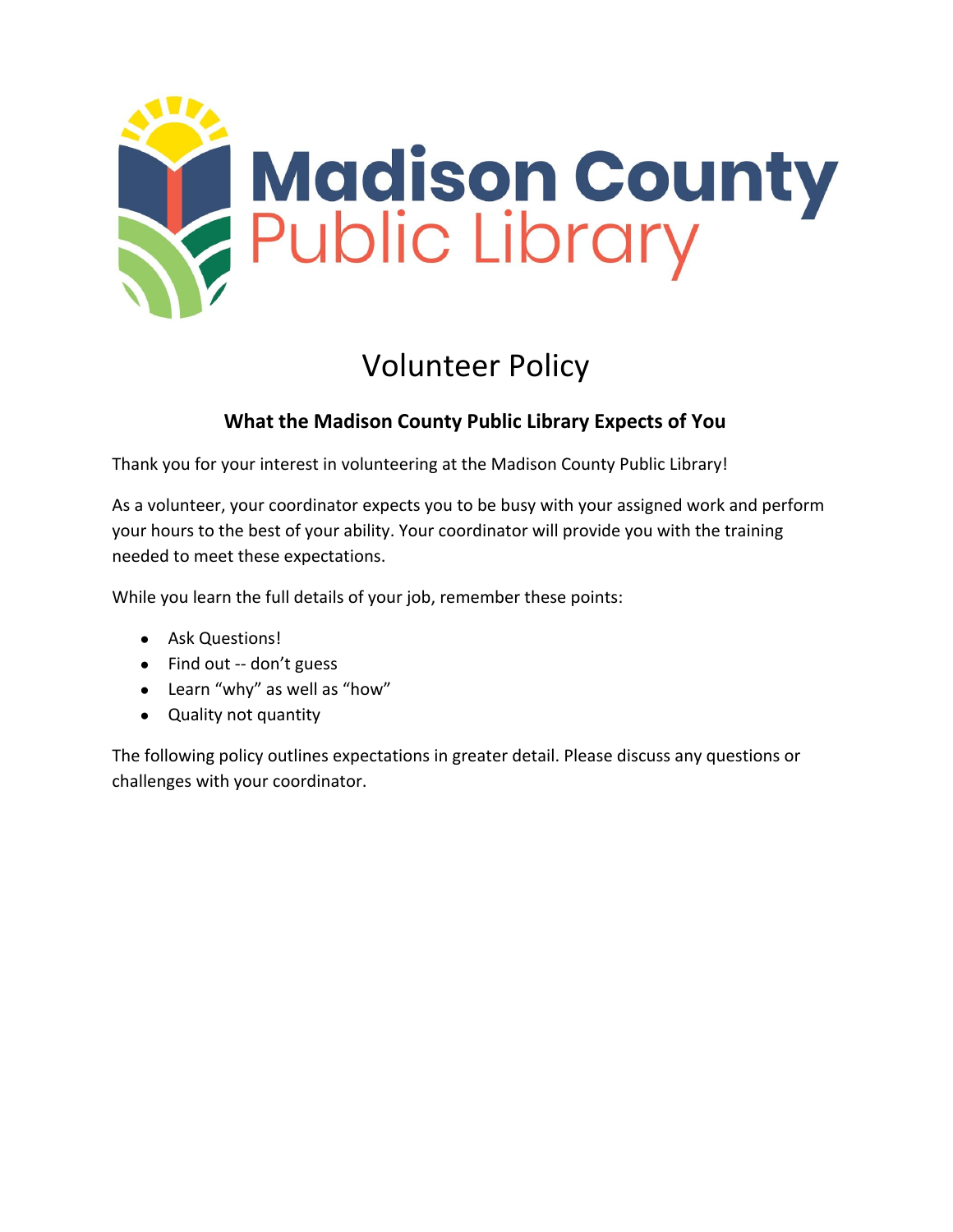

# Volunteer Policy

## **What the Madison County Public Library Expects of You**

Thank you for your interest in volunteering at the Madison County Public Library!

As a volunteer, your coordinator expects you to be busy with your assigned work and perform your hours to the best of your ability. Your coordinator will provide you with the training needed to meet these expectations.

While you learn the full details of your job, remember these points:

- Ask Questions!
- $\bullet$  Find out -- don't guess
- Learn "why" as well as "how"
- Quality not quantity

The following policy outlines expectations in greater detail. Please discuss any questions or challenges with your coordinator.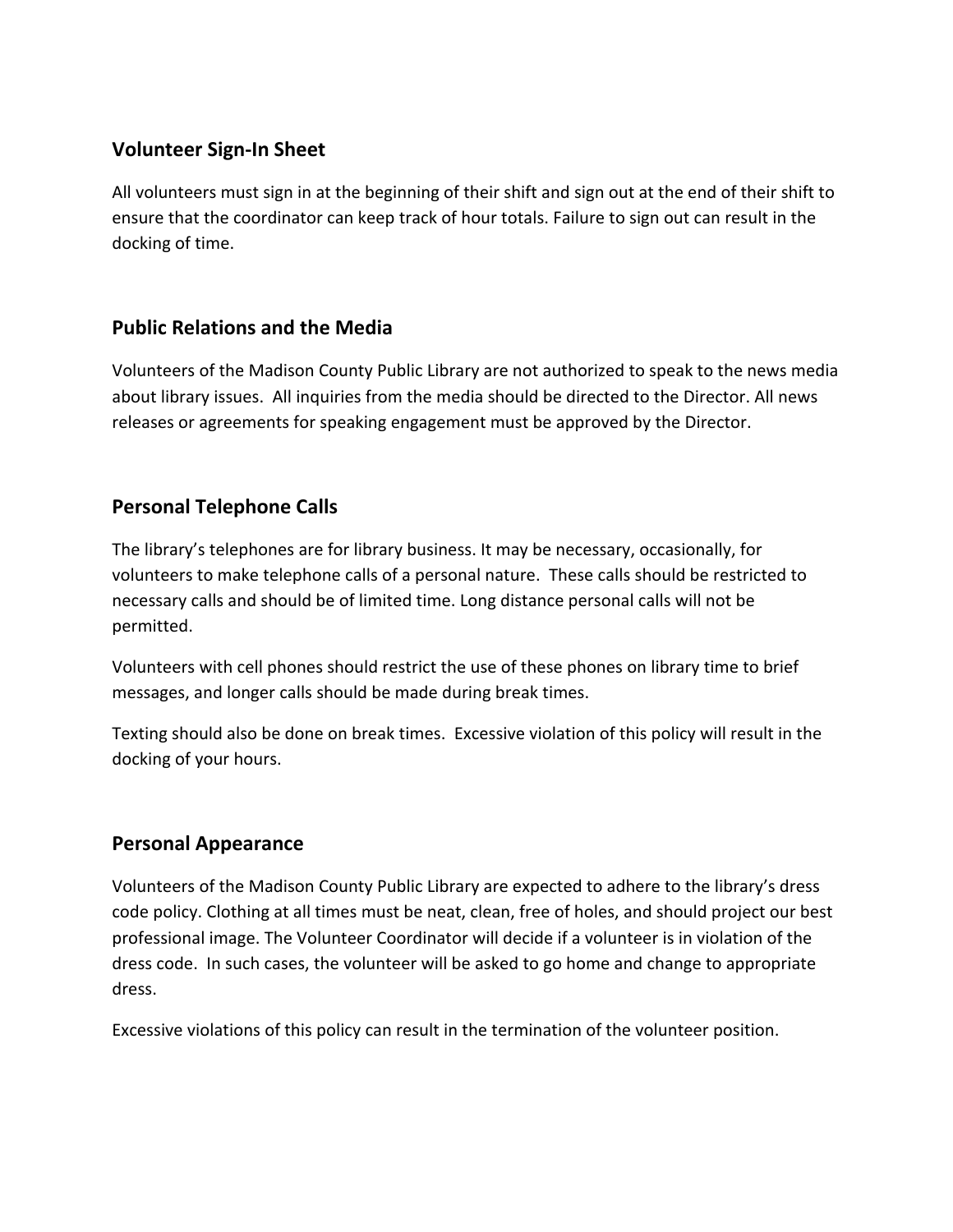#### **Volunteer Sign-In Sheet**

All volunteers must sign in at the beginning of their shift and sign out at the end of their shift to ensure that the coordinator can keep track of hour totals. Failure to sign out can result in the docking of time.

## **Public Relations and the Media**

Volunteers of the Madison County Public Library are not authorized to speak to the news media about library issues. All inquiries from the media should be directed to the Director. All news releases or agreements for speaking engagement must be approved by the Director.

## **Personal Telephone Calls**

The library's telephones are for library business. It may be necessary, occasionally, for volunteers to make telephone calls of a personal nature. These calls should be restricted to necessary calls and should be of limited time. Long distance personal calls will not be permitted.

Volunteers with cell phones should restrict the use of these phones on library time to brief messages, and longer calls should be made during break times.

Texting should also be done on break times. Excessive violation of this policy will result in the docking of your hours.

#### **Personal Appearance**

Volunteers of the Madison County Public Library are expected to adhere to the library's dress code policy. Clothing at all times must be neat, clean, free of holes, and should project our best professional image. The Volunteer Coordinator will decide if a volunteer is in violation of the dress code. In such cases, the volunteer will be asked to go home and change to appropriate dress.

Excessive violations of this policy can result in the termination of the volunteer position.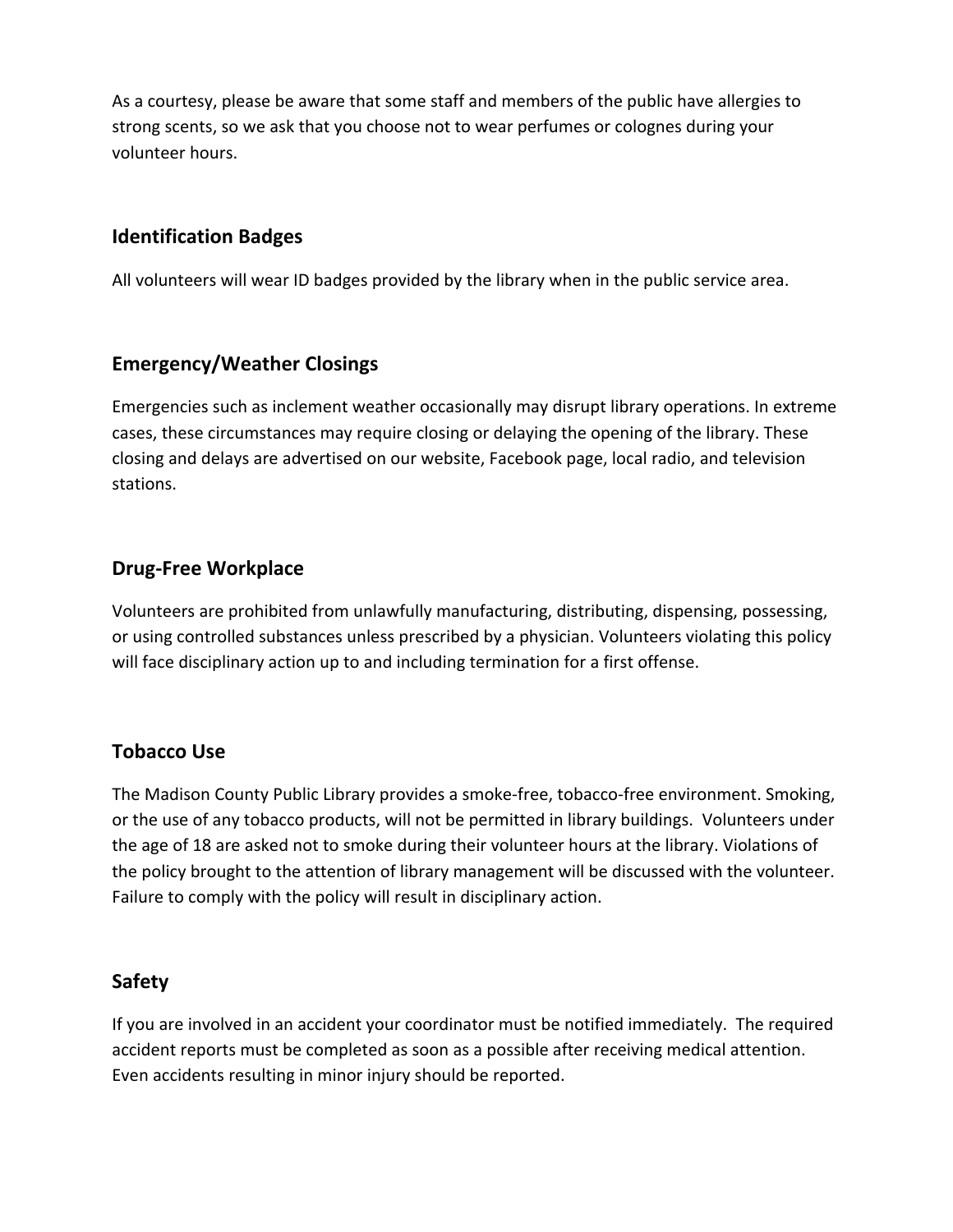As a courtesy, please be aware that some staff and members of the public have allergies to strong scents, so we ask that you choose not to wear perfumes or colognes during your volunteer hours.

#### **Identification Badges**

All volunteers will wear ID badges provided by the library when in the public service area.

#### **Emergency/Weather Closings**

Emergencies such as inclement weather occasionally may disrupt library operations. In extreme cases, these circumstances may require closing or delaying the opening of the library. These closing and delays are advertised on our website, Facebook page, local radio, and television stations.

#### **Drug-Free Workplace**

Volunteers are prohibited from unlawfully manufacturing, distributing, dispensing, possessing, or using controlled substances unless prescribed by a physician. Volunteers violating this policy will face disciplinary action up to and including termination for a first offense.

#### **Tobacco Use**

The Madison County Public Library provides a smoke-free, tobacco-free environment. Smoking, or the use of any tobacco products, will not be permitted in library buildings. Volunteers under the age of 18 are asked not to smoke during their volunteer hours at the library. Violations of the policy brought to the attention of library management will be discussed with the volunteer. Failure to comply with the policy will result in disciplinary action.

#### **Safety**

If you are involved in an accident your coordinator must be notified immediately. The required accident reports must be completed as soon as a possible after receiving medical attention. Even accidents resulting in minor injury should be reported.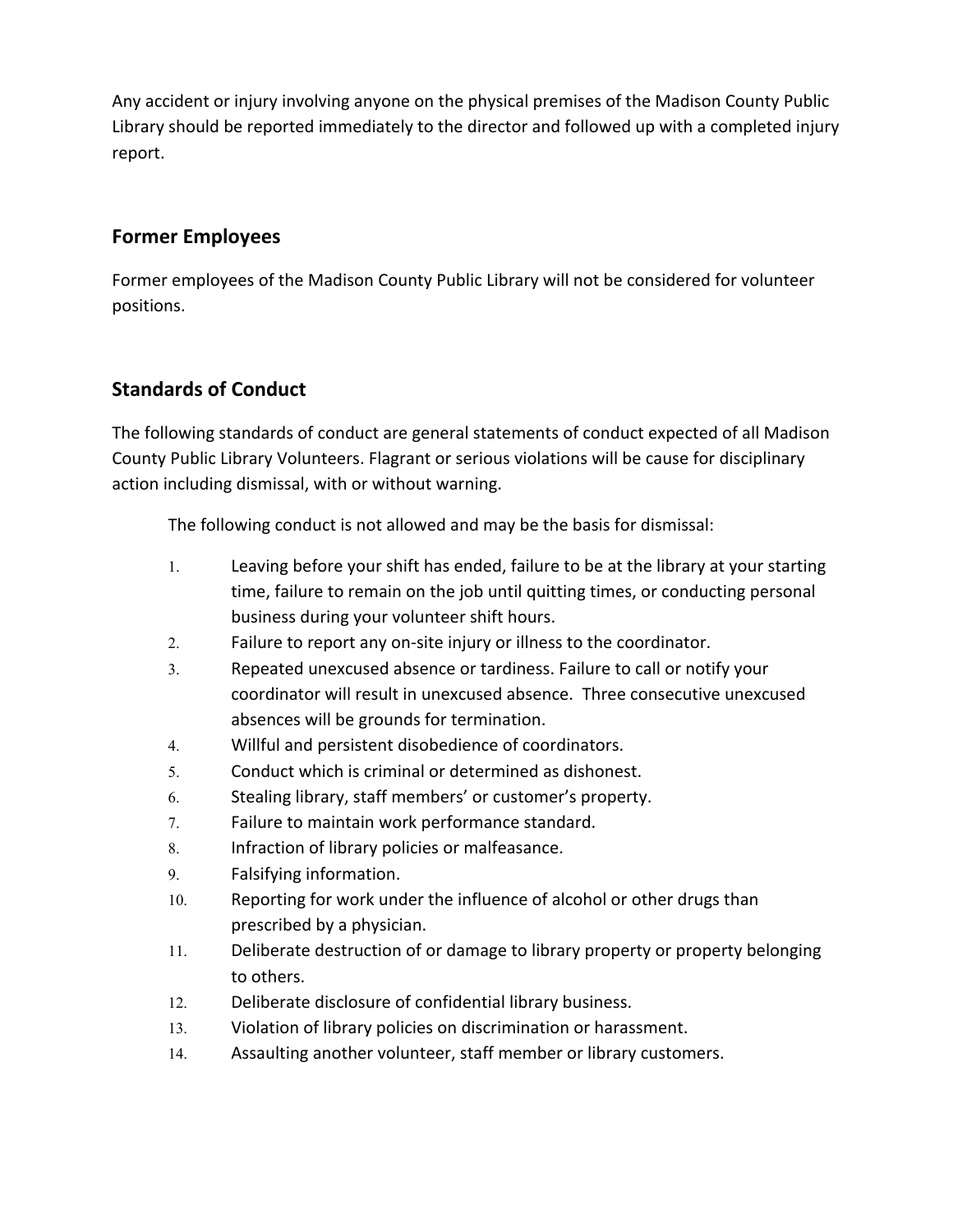Any accident or injury involving anyone on the physical premises of the Madison County Public Library should be reported immediately to the director and followed up with a completed injury report.

## **Former Employees**

Former employees of the Madison County Public Library will not be considered for volunteer positions.

## **Standards of Conduct**

The following standards of conduct are general statements of conduct expected of all Madison County Public Library Volunteers. Flagrant or serious violations will be cause for disciplinary action including dismissal, with or without warning.

The following conduct is not allowed and may be the basis for dismissal:

- 1. Leaving before your shift has ended, failure to be at the library at your starting time, failure to remain on the job until quitting times, or conducting personal business during your volunteer shift hours.
- 2. Failure to report any on-site injury or illness to the coordinator.
- 3. Repeated unexcused absence or tardiness. Failure to call or notify your coordinator will result in unexcused absence. Three consecutive unexcused absences will be grounds for termination.
- 4. Willful and persistent disobedience of coordinators.
- 5. Conduct which is criminal or determined as dishonest.
- 6. Stealing library, staff members' or customer's property.
- 7. Failure to maintain work performance standard.
- 8. Infraction of library policies or malfeasance.
- 9. Falsifying information.
- 10. Reporting for work under the influence of alcohol or other drugs than prescribed by a physician.
- 11. Deliberate destruction of or damage to library property or property belonging to others.
- 12. Deliberate disclosure of confidential library business.
- 13. Violation of library policies on discrimination or harassment.
- 14. Assaulting another volunteer, staff member or library customers.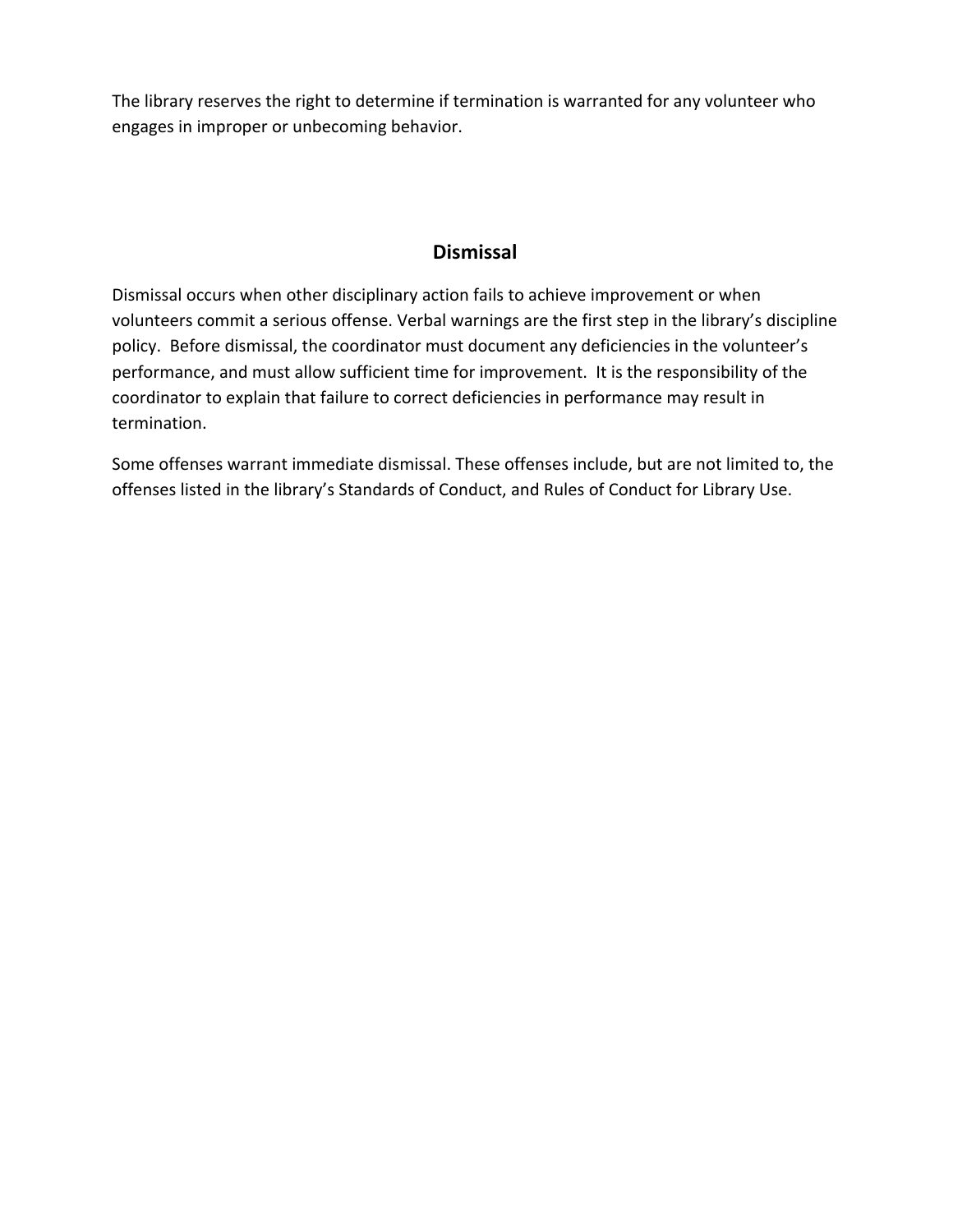The library reserves the right to determine if termination is warranted for any volunteer who engages in improper or unbecoming behavior.

#### **Dismissal**

Dismissal occurs when other disciplinary action fails to achieve improvement or when volunteers commit a serious offense. Verbal warnings are the first step in the library's discipline policy. Before dismissal, the coordinator must document any deficiencies in the volunteer's performance, and must allow sufficient time for improvement. It is the responsibility of the coordinator to explain that failure to correct deficiencies in performance may result in termination.

Some offenses warrant immediate dismissal. These offenses include, but are not limited to, the offenses listed in the library's Standards of Conduct, and Rules of Conduct for Library Use.